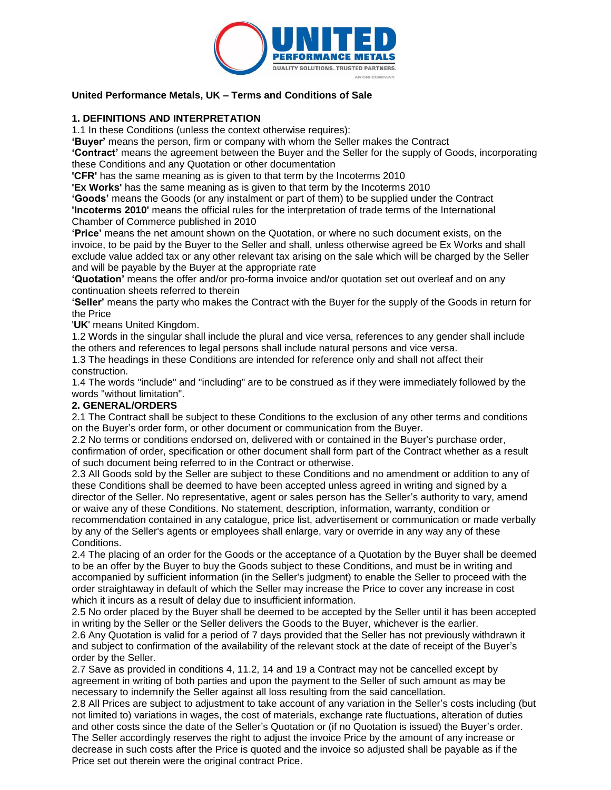

### **United Performance Metals, UK – Terms and Conditions of Sale**

### **1. DEFINITIONS AND INTERPRETATION**

1.1 In these Conditions (unless the context otherwise requires):

**'Buyer'** means the person, firm or company with whom the Seller makes the Contract

**'Contract'** means the agreement between the Buyer and the Seller for the supply of Goods, incorporating these Conditions and any Quotation or other documentation

**'CFR'** has the same meaning as is given to that term by the Incoterms 2010

**'Ex Works'** has the same meaning as is given to that term by the Incoterms 2010

**'Goods'** means the Goods (or any instalment or part of them) to be supplied under the Contract **'Incoterms 2010'** means the official rules for the interpretation of trade terms of the International Chamber of Commerce published in 2010

**'Price'** means the net amount shown on the Quotation, or where no such document exists, on the invoice, to be paid by the Buyer to the Seller and shall, unless otherwise agreed be Ex Works and shall exclude value added tax or any other relevant tax arising on the sale which will be charged by the Seller and will be payable by the Buyer at the appropriate rate

**'Quotation'** means the offer and/or pro-forma invoice and/or quotation set out overleaf and on any continuation sheets referred to therein

**'Seller'** means the party who makes the Contract with the Buyer for the supply of the Goods in return for the Price

'**UK**' means United Kingdom.

1.2 Words in the singular shall include the plural and vice versa, references to any gender shall include the others and references to legal persons shall include natural persons and vice versa.

1.3 The headings in these Conditions are intended for reference only and shall not affect their construction.

1.4 The words "include" and "including" are to be construed as if they were immediately followed by the words "without limitation".

#### **2. GENERAL/ORDERS**

2.1 The Contract shall be subject to these Conditions to the exclusion of any other terms and conditions on the Buyer's order form, or other document or communication from the Buyer.

2.2 No terms or conditions endorsed on, delivered with or contained in the Buyer's purchase order, confirmation of order, specification or other document shall form part of the Contract whether as a result of such document being referred to in the Contract or otherwise.

2.3 All Goods sold by the Seller are subject to these Conditions and no amendment or addition to any of these Conditions shall be deemed to have been accepted unless agreed in writing and signed by a director of the Seller. No representative, agent or sales person has the Seller's authority to vary, amend or waive any of these Conditions. No statement, description, information, warranty, condition or recommendation contained in any catalogue, price list, advertisement or communication or made verbally by any of the Seller's agents or employees shall enlarge, vary or override in any way any of these

Conditions. 2.4 The placing of an order for the Goods or the acceptance of a Quotation by the Buyer shall be deemed to be an offer by the Buyer to buy the Goods subject to these Conditions, and must be in writing and accompanied by sufficient information (in the Seller's judgment) to enable the Seller to proceed with the order straightaway in default of which the Seller may increase the Price to cover any increase in cost

which it incurs as a result of delay due to insufficient information.

2.5 No order placed by the Buyer shall be deemed to be accepted by the Seller until it has been accepted in writing by the Seller or the Seller delivers the Goods to the Buyer, whichever is the earlier. 2.6 Any Quotation is valid for a period of 7 days provided that the Seller has not previously withdrawn it and subject to confirmation of the availability of the relevant stock at the date of receipt of the Buyer's

order by the Seller.

2.7 Save as provided in conditions 4, 11.2, 14 and 19 a Contract may not be cancelled except by agreement in writing of both parties and upon the payment to the Seller of such amount as may be necessary to indemnify the Seller against all loss resulting from the said cancellation.

2.8 All Prices are subject to adjustment to take account of any variation in the Seller's costs including (but not limited to) variations in wages, the cost of materials, exchange rate fluctuations, alteration of duties and other costs since the date of the Seller's Quotation or (if no Quotation is issued) the Buyer's order. The Seller accordingly reserves the right to adjust the invoice Price by the amount of any increase or decrease in such costs after the Price is quoted and the invoice so adjusted shall be payable as if the Price set out therein were the original contract Price.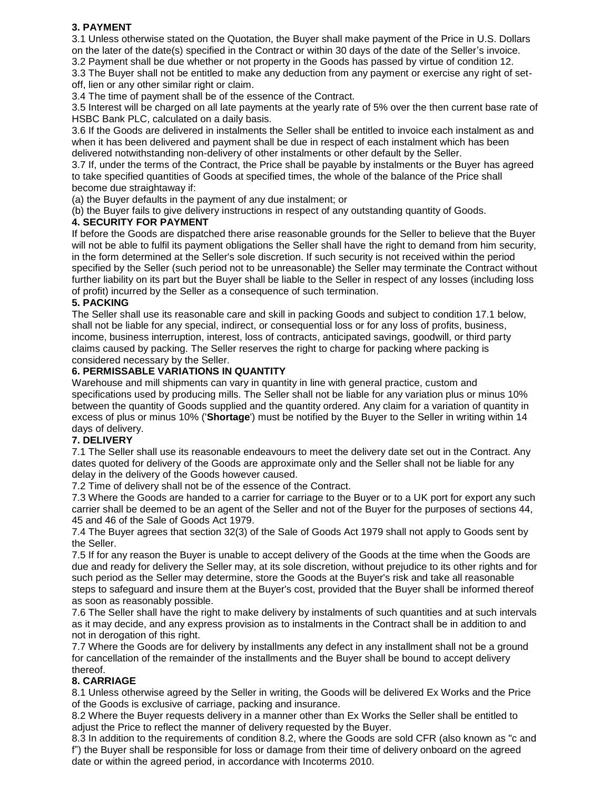# **3. PAYMENT**

3.1 Unless otherwise stated on the Quotation, the Buyer shall make payment of the Price in U.S. Dollars on the later of the date(s) specified in the Contract or within 30 days of the date of the Seller's invoice.

3.2 Payment shall be due whether or not property in the Goods has passed by virtue of condition 12. 3.3 The Buyer shall not be entitled to make any deduction from any payment or exercise any right of setoff, lien or any other similar right or claim.

3.4 The time of payment shall be of the essence of the Contract.

3.5 Interest will be charged on all late payments at the yearly rate of 5% over the then current base rate of HSBC Bank PLC, calculated on a daily basis.

3.6 If the Goods are delivered in instalments the Seller shall be entitled to invoice each instalment as and when it has been delivered and payment shall be due in respect of each instalment which has been delivered notwithstanding non-delivery of other instalments or other default by the Seller.

3.7 If, under the terms of the Contract, the Price shall be payable by instalments or the Buyer has agreed to take specified quantities of Goods at specified times, the whole of the balance of the Price shall become due straightaway if:

(a) the Buyer defaults in the payment of any due instalment; or

(b) the Buyer fails to give delivery instructions in respect of any outstanding quantity of Goods.

## **4. SECURITY FOR PAYMENT**

If before the Goods are dispatched there arise reasonable grounds for the Seller to believe that the Buyer will not be able to fulfil its payment obligations the Seller shall have the right to demand from him security, in the form determined at the Seller's sole discretion. If such security is not received within the period specified by the Seller (such period not to be unreasonable) the Seller may terminate the Contract without further liability on its part but the Buyer shall be liable to the Seller in respect of any losses (including loss of profit) incurred by the Seller as a consequence of such termination.

### **5. PACKING**

The Seller shall use its reasonable care and skill in packing Goods and subject to condition 17.1 below, shall not be liable for any special, indirect, or consequential loss or for any loss of profits, business, income, business interruption, interest, loss of contracts, anticipated savings, goodwill, or third party claims caused by packing. The Seller reserves the right to charge for packing where packing is considered necessary by the Seller.

### **6. PERMISSABLE VARIATIONS IN QUANTITY**

Warehouse and mill shipments can vary in quantity in line with general practice, custom and specifications used by producing mills. The Seller shall not be liable for any variation plus or minus 10% between the quantity of Goods supplied and the quantity ordered. Any claim for a variation of quantity in excess of plus or minus 10% ('**Shortage**') must be notified by the Buyer to the Seller in writing within 14 days of delivery.

#### **7. DELIVERY**

7.1 The Seller shall use its reasonable endeavours to meet the delivery date set out in the Contract. Any dates quoted for delivery of the Goods are approximate only and the Seller shall not be liable for any delay in the delivery of the Goods however caused.

7.2 Time of delivery shall not be of the essence of the Contract.

7.3 Where the Goods are handed to a carrier for carriage to the Buyer or to a UK port for export any such carrier shall be deemed to be an agent of the Seller and not of the Buyer for the purposes of sections 44, 45 and 46 of the Sale of Goods Act 1979.

7.4 The Buyer agrees that section 32(3) of the Sale of Goods Act 1979 shall not apply to Goods sent by the Seller.

7.5 If for any reason the Buyer is unable to accept delivery of the Goods at the time when the Goods are due and ready for delivery the Seller may, at its sole discretion, without prejudice to its other rights and for such period as the Seller may determine, store the Goods at the Buyer's risk and take all reasonable steps to safeguard and insure them at the Buyer's cost, provided that the Buyer shall be informed thereof as soon as reasonably possible.

7.6 The Seller shall have the right to make delivery by instalments of such quantities and at such intervals as it may decide, and any express provision as to instalments in the Contract shall be in addition to and not in derogation of this right.

7.7 Where the Goods are for delivery by installments any defect in any installment shall not be a ground for cancellation of the remainder of the installments and the Buyer shall be bound to accept delivery thereof.

## **8. CARRIAGE**

8.1 Unless otherwise agreed by the Seller in writing, the Goods will be delivered Ex Works and the Price of the Goods is exclusive of carriage, packing and insurance.

8.2 Where the Buyer requests delivery in a manner other than Ex Works the Seller shall be entitled to adjust the Price to reflect the manner of delivery requested by the Buyer.

8.3 In addition to the requirements of condition 8.2, where the Goods are sold CFR (also known as "c and f") the Buyer shall be responsible for loss or damage from their time of delivery onboard on the agreed date or within the agreed period, in accordance with Incoterms 2010.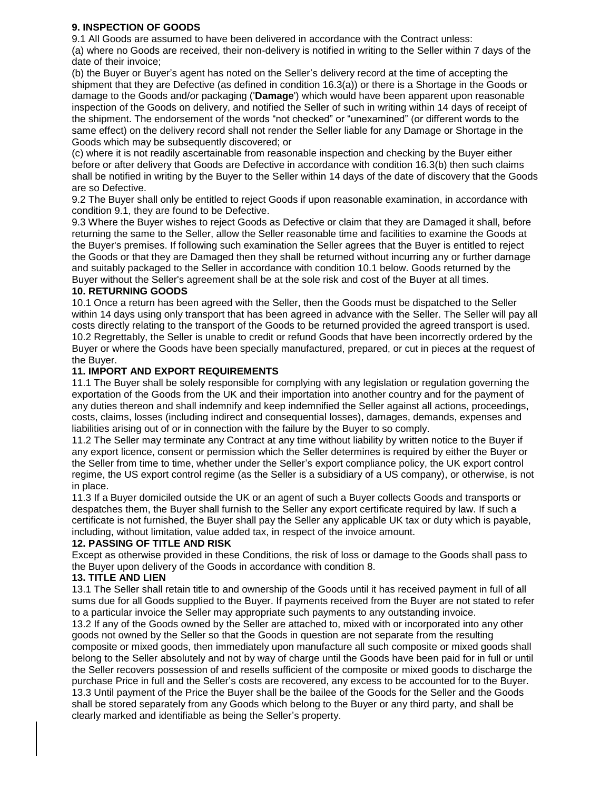## **9. INSPECTION OF GOODS**

9.1 All Goods are assumed to have been delivered in accordance with the Contract unless:

(a) where no Goods are received, their non-delivery is notified in writing to the Seller within 7 days of the date of their invoice;

(b) the Buyer or Buyer's agent has noted on the Seller's delivery record at the time of accepting the shipment that they are Defective (as defined in condition 16.3(a)) or there is a Shortage in the Goods or damage to the Goods and/or packaging ('**Damage**') which would have been apparent upon reasonable inspection of the Goods on delivery, and notified the Seller of such in writing within 14 days of receipt of the shipment. The endorsement of the words "not checked" or "unexamined" (or different words to the same effect) on the delivery record shall not render the Seller liable for any Damage or Shortage in the Goods which may be subsequently discovered; or

(c) where it is not readily ascertainable from reasonable inspection and checking by the Buyer either before or after delivery that Goods are Defective in accordance with condition 16.3(b) then such claims shall be notified in writing by the Buyer to the Seller within 14 days of the date of discovery that the Goods are so Defective.

9.2 The Buyer shall only be entitled to reject Goods if upon reasonable examination, in accordance with condition 9.1, they are found to be Defective.

9.3 Where the Buyer wishes to reject Goods as Defective or claim that they are Damaged it shall, before returning the same to the Seller, allow the Seller reasonable time and facilities to examine the Goods at the Buyer's premises. If following such examination the Seller agrees that the Buyer is entitled to reject the Goods or that they are Damaged then they shall be returned without incurring any or further damage and suitably packaged to the Seller in accordance with condition 10.1 below. Goods returned by the Buyer without the Seller's agreement shall be at the sole risk and cost of the Buyer at all times.

## **10. RETURNING GOODS**

10.1 Once a return has been agreed with the Seller, then the Goods must be dispatched to the Seller within 14 days using only transport that has been agreed in advance with the Seller. The Seller will pay all costs directly relating to the transport of the Goods to be returned provided the agreed transport is used. 10.2 Regrettably, the Seller is unable to credit or refund Goods that have been incorrectly ordered by the Buyer or where the Goods have been specially manufactured, prepared, or cut in pieces at the request of the Buyer.

# **11. IMPORT AND EXPORT REQUIREMENTS**

11.1 The Buyer shall be solely responsible for complying with any legislation or regulation governing the exportation of the Goods from the UK and their importation into another country and for the payment of any duties thereon and shall indemnify and keep indemnified the Seller against all actions, proceedings, costs, claims, losses (including indirect and consequential losses), damages, demands, expenses and liabilities arising out of or in connection with the failure by the Buyer to so comply.

11.2 The Seller may terminate any Contract at any time without liability by written notice to the Buyer if any export licence, consent or permission which the Seller determines is required by either the Buyer or the Seller from time to time, whether under the Seller's export compliance policy, the UK export control regime, the US export control regime (as the Seller is a subsidiary of a US company), or otherwise, is not in place.

11.3 If a Buyer domiciled outside the UK or an agent of such a Buyer collects Goods and transports or despatches them, the Buyer shall furnish to the Seller any export certificate required by law. If such a certificate is not furnished, the Buyer shall pay the Seller any applicable UK tax or duty which is payable, including, without limitation, value added tax, in respect of the invoice amount.

## **12. PASSING OF TITLE AND RISK**

Except as otherwise provided in these Conditions, the risk of loss or damage to the Goods shall pass to the Buyer upon delivery of the Goods in accordance with condition 8.

## **13. TITLE AND LIEN**

13.1 The Seller shall retain title to and ownership of the Goods until it has received payment in full of all sums due for all Goods supplied to the Buyer. If payments received from the Buyer are not stated to refer to a particular invoice the Seller may appropriate such payments to any outstanding invoice.

13.2 If any of the Goods owned by the Seller are attached to, mixed with or incorporated into any other goods not owned by the Seller so that the Goods in question are not separate from the resulting composite or mixed goods, then immediately upon manufacture all such composite or mixed goods shall belong to the Seller absolutely and not by way of charge until the Goods have been paid for in full or until the Seller recovers possession of and resells sufficient of the composite or mixed goods to discharge the purchase Price in full and the Seller's costs are recovered, any excess to be accounted for to the Buyer. 13.3 Until payment of the Price the Buyer shall be the bailee of the Goods for the Seller and the Goods shall be stored separately from any Goods which belong to the Buyer or any third party, and shall be clearly marked and identifiable as being the Seller's property.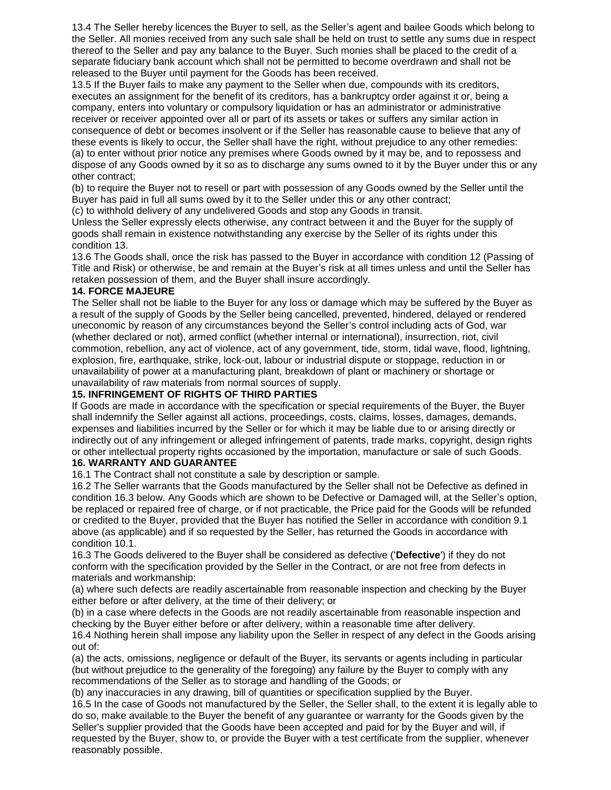13.4 The Seller hereby licences the Buyer to sell, as the Seller's agent and bailee Goods which belong to the Seller. All monies received from any such sale shall be held on trust to settle any sums due in respect thereof to the Seller and pay any balance to the Buyer. Such monies shall be placed to the credit of a separate fiduciary bank account which shall not be permitted to become overdrawn and shall not be released to the Buyer until payment for the Goods has been received.

13.5 If the Buyer fails to make any payment to the Seller when due, compounds with its creditors, executes an assignment for the benefit of its creditors, has a bankruptcy order against it or, being a company, enters into voluntary or compulsory liquidation or has an administrator or administrative receiver or receiver appointed over all or part of its assets or takes or suffers any similar action in consequence of debt or becomes insolvent or if the Seller has reasonable cause to believe that any of these events is likely to occur, the Seller shall have the right, without prejudice to any other remedies: (a) to enter without prior notice any premises where Goods owned by it may be, and to repossess and dispose of any Goods owned by it so as to discharge any sums owned to it by the Buyer under this or any other contract;

(b) to require the Buyer not to resell or part with possession of any Goods owned by the Seller until the Buyer has paid in full all sums owed by it to the Seller under this or any other contract; (c) to withhold delivery of any undelivered Goods and stop any Goods in transit.

Unless the Seller expressly elects otherwise, any contract between it and the Buyer for the supply of goods shall remain in existence notwithstanding any exercise by the Seller of its rights under this condition 13.

13.6 The Goods shall, once the risk has passed to the Buyer in accordance with condition 12 (Passing of Title and Risk) or otherwise, be and remain at the Buyer's risk at all times unless and until the Seller has retaken possession of them, and the Buyer shall insure accordingly.

### **14. FORCE MAJEURE**

The Seller shall not be liable to the Buyer for any loss or damage which may be suffered by the Buyer as a result of the supply of Goods by the Seller being cancelled, prevented, hindered, delayed or rendered uneconomic by reason of any circumstances beyond the Seller's control including acts of God, war (whether declared or not), armed conflict (whether internal or international), insurrection, riot, civil commotion, rebellion, any act of violence, act of any government, tide, storm, tidal wave, flood, lightning, explosion, fire, earthquake, strike, lock-out, labour or industrial dispute or stoppage, reduction in or unavailability of power at a manufacturing plant, breakdown of plant or machinery or shortage or unavailability of raw materials from normal sources of supply.

### **15. INFRINGEMENT OF RIGHTS OF THIRD PARTIES**

If Goods are made in accordance with the specification or special requirements of the Buyer, the Buyer shall indemnify the Seller against all actions, proceedings, costs, claims, losses, damages, demands, expenses and liabilities incurred by the Seller or for which it may be liable due to or arising directly or indirectly out of any infringement or alleged infringement of patents, trade marks, copyright, design rights or other intellectual property rights occasioned by the importation, manufacture or sale of such Goods. **16. WARRANTY AND GUARANTEE** 

16.1 The Contract shall not constitute a sale by description or sample.

16.2 The Seller warrants that the Goods manufactured by the Seller shall not be Defective as defined in condition 16.3 below. Any Goods which are shown to be Defective or Damaged will, at the Seller's option, be replaced or repaired free of charge, or if not practicable, the Price paid for the Goods will be refunded or credited to the Buyer, provided that the Buyer has notified the Seller in accordance with condition 9.1 above (as applicable) and if so requested by the Seller, has returned the Goods in accordance with condition 10.1.

16.3 The Goods delivered to the Buyer shall be considered as defective ('**Defective**') if they do not conform with the specification provided by the Seller in the Contract, or are not free from defects in materials and workmanship:

(a) where such defects are readily ascertainable from reasonable inspection and checking by the Buyer either before or after delivery, at the time of their delivery; or

(b) in a case where defects in the Goods are not readily ascertainable from reasonable inspection and checking by the Buyer either before or after delivery, within a reasonable time after delivery. 16.4 Nothing herein shall impose any liability upon the Seller in respect of any defect in the Goods arising out of:

(a) the acts, omissions, negligence or default of the Buyer, its servants or agents including in particular (but without prejudice to the generality of the foregoing) any failure by the Buyer to comply with any recommendations of the Seller as to storage and handling of the Goods; or

(b) any inaccuracies in any drawing, bill of quantities or specification supplied by the Buyer.

16.5 In the case of Goods not manufactured by the Seller, the Seller shall, to the extent it is legally able to do so, make available to the Buyer the benefit of any guarantee or warranty for the Goods given by the Seller's supplier provided that the Goods have been accepted and paid for by the Buyer and will, if requested by the Buyer, show to, or provide the Buyer with a test certificate from the supplier, whenever reasonably possible.